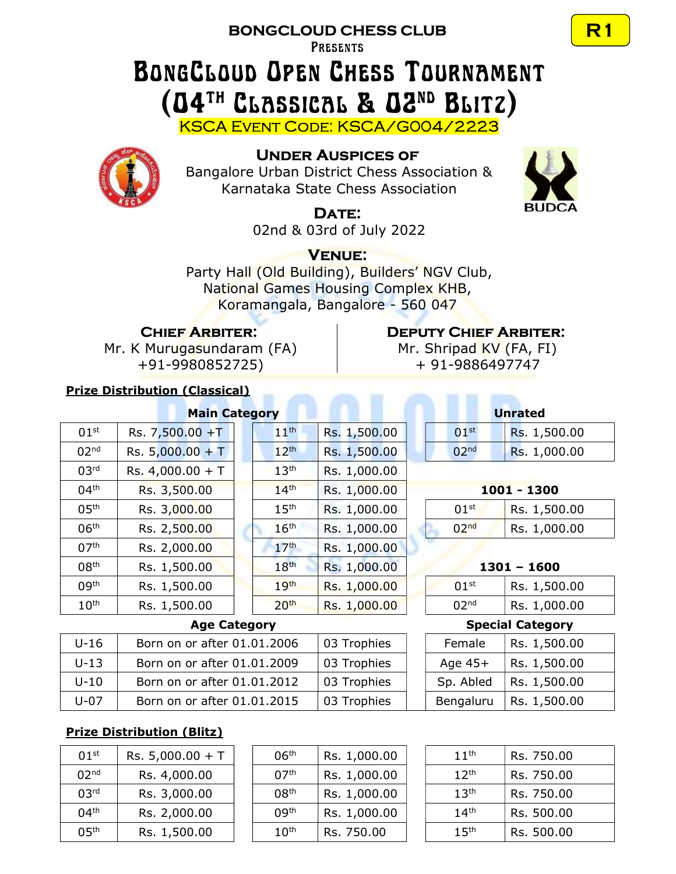## BONGCLOUD CHESS CLUB

**PRESENTS** 

## BongCloud Open Chess Tournament (04th Classical & 02nd Blitz)

KSCA Event Code: KSCA/G004/2223



## Under Auspices of

Bangalore Urban District Chess Association & Karnataka State Chess Association



## DATE:

02nd & 03rd of July 2022

## Venue:

Party Hall (Old Building), Builders' NGV Club, National Games Housing Complex KHB, Koramangala, Bangalore - 560 047

## Chief Arbiter:

Mr. K Murugasundaram (FA) +91-9980852725)

## Prize Distribution (Classical)

# **Main Category**

| 01 <sup>st</sup> | Rs. 7,500.00 +T    | 11 <sup>th</sup> | Rs. 1,500.00 | 01 <sup>st</sup> | Rs. 1,500.00  |
|------------------|--------------------|------------------|--------------|------------------|---------------|
| 02 <sup>nd</sup> | Rs. $5,000.00 + T$ | 12 <sup>th</sup> | Rs. 1,500.00 | 02 <sup>nd</sup> | Rs. 1,000.00  |
| 03 <sup>rd</sup> | Rs. $4,000.00 + T$ | 13 <sup>th</sup> | Rs. 1,000.00 |                  |               |
| 04 <sup>th</sup> | Rs. 3,500.00       | 14 <sup>th</sup> | Rs. 1,000.00 |                  | 1001 - 1300   |
| 05 <sup>th</sup> | Rs. 3,000.00       | 15 <sup>th</sup> | Rs. 1,000.00 | 01 <sup>st</sup> | Rs. 1,500.00  |
| 06 <sup>th</sup> | Rs. 2,500.00       | 16 <sup>th</sup> | Rs. 1,000.00 | 02 <sup>nd</sup> | Rs. 1,000.00  |
| 07 <sup>th</sup> | Rs. 2,000.00       | 17 <sup>th</sup> | Rs. 1,000.00 |                  |               |
| 08 <sup>th</sup> | Rs. 1,500.00       | 18 <sup>th</sup> | Rs. 1,000.00 |                  | $1301 - 1600$ |
| 09 <sup>th</sup> | Rs. 1,500.00       | 19 <sup>th</sup> | Rs. 1,000.00 | 01 <sup>st</sup> | Rs. 1,500.00  |
| 10 <sup>th</sup> | Rs. 1,500.00       | 20 <sup>th</sup> | Rs. 1,000.00 | 02 <sup>nd</sup> | Rs. 1,000.00  |

| Rs. 1,500.00 |
|--------------|
| Rs. 1,500.00 |
| Rs. 1,000.00 |
| Rs. 1,000.00 |
| Rs. 1,000.00 |
| Rs. 1,000.00 |
| Rs. 1,000.00 |
| Rs. 1,000.00 |
| Rs. 1,000.00 |
| Rs. 1,000.00 |
|              |

## Deputy Chief Arbiter:

Mr. Shripad KV (FA, FI) + 91-9886497747

| <b>Unrated</b>   |              |  |  |  |  |  |
|------------------|--------------|--|--|--|--|--|
| 01 <sup>st</sup> | Rs. 1,500.00 |  |  |  |  |  |
| 0 <sub>2nd</sub> | Rs. 1,000.00 |  |  |  |  |  |

#### $1001 - 1300$

| 01 <sup>st</sup> | Rs. 1,500.00 |
|------------------|--------------|
| n <sub>2nd</sub> | Rs. 1,000.00 |

| 1301 |  | 1600 |
|------|--|------|
|      |  |      |

| 01 <sup>st</sup> | Rs. 1,500.00 |
|------------------|--------------|
| n <sub>2nd</sub> | Rs. 1,000.00 |

### **Age Category**

| U-16     | Born on or after 01.01.2006 | 03 Trophies | Female    | Rs. 1,500.00               |
|----------|-----------------------------|-------------|-----------|----------------------------|
| $U-13$   | Born on or after 01.01.2009 | 03 Trophies | Age $45+$ | Rs. 1,500.00               |
| $U-10$   | Born on or after 01.01.2012 | 03 Trophies |           | Sp. Abled   Rs. $1,500.00$ |
| $U - 07$ | Born on or after 01.01.2015 | 03 Trophies | Bengaluru | $\vert$ Rs. 1,500.00       |

|           | <b>Special Category</b> |  |  |  |  |  |
|-----------|-------------------------|--|--|--|--|--|
| Female    | Rs. 1,500.00            |  |  |  |  |  |
| Age $45+$ | Rs. 1,500.00            |  |  |  |  |  |
| Sp. Abled | Rs. 1,500.00            |  |  |  |  |  |
| Bengaluru | Rs. 1,500.00            |  |  |  |  |  |

## Prize Distribution (Blitz)

| 01 <sup>st</sup>  | Rs. $5,000.00 + T$ |
|-------------------|--------------------|
| 02 <sup>nd</sup>  | Rs. 4,000.00       |
| 03 <sup>rd</sup>  | Rs. 3,000.00       |
| 04 <sup>th</sup>  | Rs. 2,000.00       |
| 0.5 <sup>th</sup> | Rs. 1,500.00       |

| 01 <sup>st</sup> | Rs. $5,000.00 + T$ | 06 <sup>th</sup> | Rs. 1,000.00 | 11 <sup>th</sup> | Rs. 750.00 |
|------------------|--------------------|------------------|--------------|------------------|------------|
| 02 <sup>nd</sup> | Rs. 4,000.00       | 07 <sup>th</sup> | Rs. 1,000.00 | 12 <sup>th</sup> | Rs. 750.00 |
| 03 <sup>rd</sup> | Rs. 3,000.00       | 08 <sup>th</sup> | Rs. 1,000.00 | 13 <sup>th</sup> | Rs. 750.00 |
| 04 <sup>th</sup> | Rs. 2,000.00       | 09 <sup>th</sup> | Rs. 1,000.00 | 14 <sup>th</sup> | Rs. 500.00 |
| 05 <sup>th</sup> | Rs. 1,500.00       | 10 <sup>th</sup> | Rs. 750.00   | 15 <sup>th</sup> | Rs. 500.00 |

| 11 <sup>th</sup> | Rs. 750.00 |
|------------------|------------|
| 12 <sup>th</sup> | Rs. 750.00 |
| 13 <sup>th</sup> | Rs. 750.00 |
| 14 <sup>th</sup> | Rs. 500.00 |
| 15 <sup>th</sup> | Rs. 500.00 |

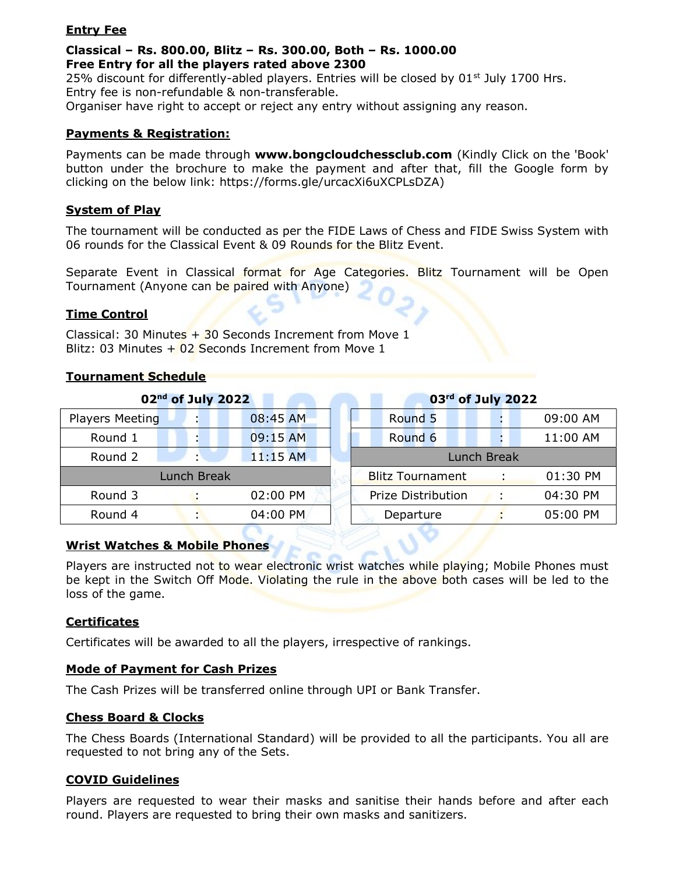#### Entry Fee

#### Classical – Rs. 800.00, Blitz – Rs. 300.00, Both – Rs. 1000.00 Free Entry for all the players rated above 2300

25% discount for differently-abled players. Entries will be closed by  $01<sup>st</sup>$  July 1700 Hrs. Entry fee is non-refundable & non-transferable.

Organiser have right to accept or reject any entry without assigning any reason.

#### Payments & Registration:

Payments can be made through www.bongcloudchessclub.com (Kindly Click on the 'Book' button under the brochure to make the payment and after that, fill the Google form by clicking on the below link: https://forms.gle/urcacXi6uXCPLsDZA)

#### System of Play

The tournament will be conducted as per the FIDE Laws of Chess and FIDE Swiss System with 06 rounds for the Classical Event & 09 Rounds for the Blitz Event.

Separate Event in Classical format for Age Categories. Blitz Tournament will be Open Tournament (Anyone can be paired with Anyone)

#### Time Control

Classical: 30 Minutes  $+$  30 Seconds Increment from Move 1 Blitz: 03 Minutes  $+$  02 Seconds Increment from Move 1

#### Tournament Schedule

|                        | 02 <sup>nd</sup> of July 2022 |            |  |                         | 03rd of July 2022 |          |
|------------------------|-------------------------------|------------|--|-------------------------|-------------------|----------|
| <b>Players Meeting</b> | $\blacksquare$                | 08:45 AM   |  | Round 5                 |                   | 09:00 AM |
| Round 1                | $\blacksquare$                | 09:15 AM   |  | Round 6                 |                   | 11:00 AM |
| Round 2                |                               | $11:15$ AM |  |                         | Lunch Break       |          |
| Lunch Break            |                               |            |  | <b>Blitz Tournament</b> |                   | 01:30 PM |
| Round 3                |                               | 02:00 PM   |  | Prize Distribution      |                   | 04:30 PM |
| Round 4                |                               | 04:00 PM   |  | Departure               |                   | 05:00 PM |

#### Wrist Watches & Mobile Phones

Players are instructed not to wear electronic wrist watches while playing; Mobile Phones must be kept in the Switch Off Mode. Violating the rule in the above both cases will be led to the loss of the game.

#### **Certificates**

Certificates will be awarded to all the players, irrespective of rankings.

#### Mode of Payment for Cash Prizes

The Cash Prizes will be transferred online through UPI or Bank Transfer.

#### Chess Board & Clocks

The Chess Boards (International Standard) will be provided to all the participants. You all are requested to not bring any of the Sets.

#### COVID Guidelines

Players are requested to wear their masks and sanitise their hands before and after each round. Players are requested to bring their own masks and sanitizers.